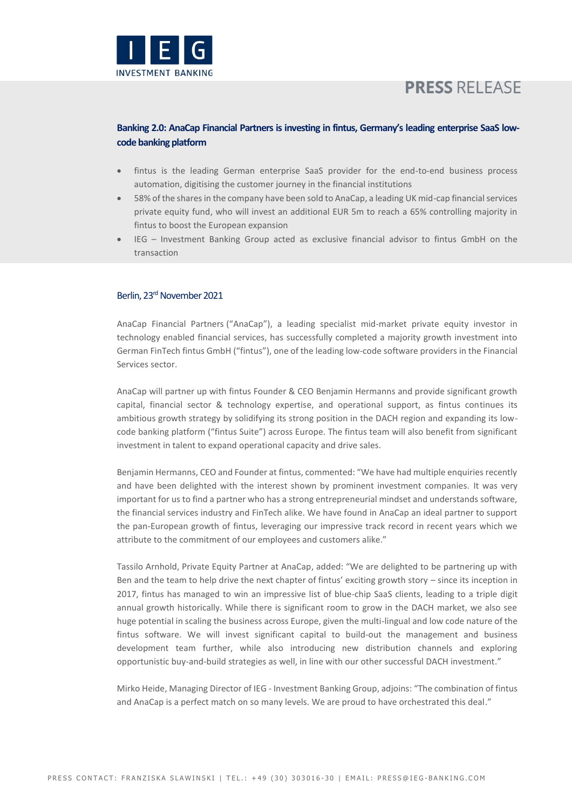

# **PRESS RELEASE**

## **Banking 2.0: AnaCap Financial Partners is investing in fintus, Germany's leading enterprise SaaS lowcode banking platform**

- fintus is the leading German enterprise SaaS provider for the end-to-end business process automation, digitising the customer journey in the financial institutions
- 58% of the shares in the company have been sold to AnaCap, a leading UK mid-cap financial services private equity fund, who will invest an additional EUR 5m to reach a 65% controlling majority in fintus to boost the European expansion
- IEG Investment Banking Group acted as exclusive financial advisor to fintus GmbH on the transaction

## Berlin, 23<sup>rd</sup> November 2021

[AnaCap Financial Partners](http://www.anacapfp.com/) ("AnaCap"), a leading specialist mid-market private equity investor in technology enabled financial services, has successfully completed a majority growth investment into German FinTec[h fintus](https://www.fintus.de/en/) GmbH ("fintus"), one of the leading low-code software providers in the Financial Services sector.

AnaCap will partner up with fintus Founder & CEO Benjamin Hermanns and provide significant growth capital, financial sector & technology expertise, and operational support, as fintus continues its ambitious growth strategy by solidifying its strong position in the DACH region and expanding its lowcode banking platform ("fintus Suite") across Europe. The fintus team will also benefit from significant investment in talent to expand operational capacity and drive sales.

Benjamin Hermanns, CEO and Founder at fintus, commented: "We have had multiple enquiries recently and have been delighted with the interest shown by prominent investment companies. It was very important for us to find a partner who has a strong entrepreneurial mindset and understands software, the financial services industry and FinTech alike. We have found in AnaCap an ideal partner to support the pan-European growth of fintus, leveraging our impressive track record in recent years which we attribute to the commitment of our employees and customers alike."

Tassilo Arnhold, Private Equity Partner at AnaCap, added: "We are delighted to be partnering up with Ben and the team to help drive the next chapter of fintus' exciting growth story – since its inception in 2017, fintus has managed to win an impressive list of blue-chip SaaS clients, leading to a triple digit annual growth historically. While there is significant room to grow in the DACH market, we also see huge potential in scaling the business across Europe, given the multi-lingual and low code nature of the fintus software. We will invest significant capital to build-out the management and business development team further, while also introducing new distribution channels and exploring opportunistic buy-and-build strategies as well, in line with our other successful DACH investment."

Mirko Heide, Managing Director of IEG - Investment Banking Group, adjoins: "The combination of fintus and AnaCap is a perfect match on so many levels. We are proud to have orchestrated this deal."